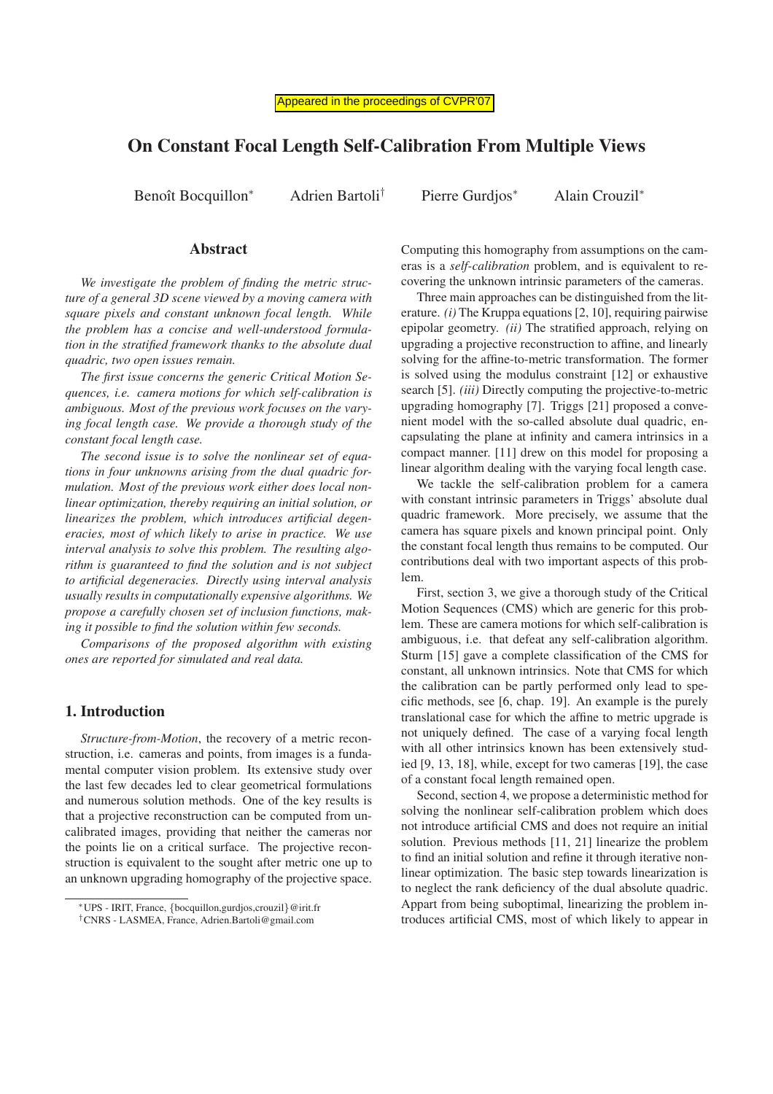# **On Constant Focal Length Self-Calibration From Multiple Views**

Benoît Bocquillon<sup>∗</sup> Adrien Bartoli<sup>†</sup> Pierre Gurdios<sup>∗</sup> Alain Crouzil<sup>∗</sup>

# **Abstract**

*We investigate the problem of finding the metric structure of a general 3D scene viewed by a moving camera with square pixels and constant unknown focal length. While the problem has a concise and well-understood formulation in the stratified framework thanks to the absolute dual quadric, two open issues remain.*

*The first issue concerns the generic Critical Motion Sequences, i.e. camera motions for which self-calibration is ambiguous. Most of the previous work focuses on the varying focal length case. We provide a thorough study of the constant focal length case.*

*The second issue is to solve the nonlinear set of equations in four unknowns arising from the dual quadric formulation. Most of the previous work either does local nonlinear optimization, thereby requiring an initial solution, or linearizes the problem, which introduces artificial degeneracies, most of which likely to arise in practice. We use interval analysis to solve this problem. The resulting algorithm is guaranteed to find the solution and is not subject to artificial degeneracies. Directly using interval analysis usually results in computationally expensive algorithms. We propose a carefully chosen set of inclusion functions, making it possible to find the solution within few seconds.*

*Comparisons of the proposed algorithm with existing ones are reported for simulated and real data.*

### **1. Introduction**

*Structure-from-Motion*, the recovery of a metric reconstruction, i.e. cameras and points, from images is a fundamental computer vision problem. Its extensive study over the last few decades led to clear geometrical formulations and numerous solution methods. One of the key results is that a projective reconstruction can be computed from uncalibrated images, providing that neither the cameras nor the points lie on a critical surface. The projective reconstruction is equivalent to the sought after metric one up to an unknown upgrading homography of the projective space.

Computing this homography from assumptions on the cameras is a *self-calibration* problem, and is equivalent to recovering the unknown intrinsic parameters of the cameras.

Three main approaches can be distinguished from the literature. *(i)* The Kruppa equations [2, 10], requiring pairwise epipolar geometry. *(ii)* The stratified approach, relying on upgrading a projective reconstruction to affine, and linearly solving for the affine-to-metric transformation. The former is solved using the modulus constraint [12] or exhaustive search [5]. *(iii)* Directly computing the projective-to-metric upgrading homography [7]. Triggs [21] proposed a convenient model with the so-called absolute dual quadric, encapsulating the plane at infinity and camera intrinsics in a compact manner. [11] drew on this model for proposing a linear algorithm dealing with the varying focal length case.

We tackle the self-calibration problem for a camera with constant intrinsic parameters in Triggs' absolute dual quadric framework. More precisely, we assume that the camera has square pixels and known principal point. Only the constant focal length thus remains to be computed. Our contributions deal with two important aspects of this problem.

First, section 3, we give a thorough study of the Critical Motion Sequences (CMS) which are generic for this problem. These are camera motions for which self-calibration is ambiguous, i.e. that defeat any self-calibration algorithm. Sturm [15] gave a complete classification of the CMS for constant, all unknown intrinsics. Note that CMS for which the calibration can be partly performed only lead to specific methods, see [6, chap. 19]. An example is the purely translational case for which the affine to metric upgrade is not uniquely defined. The case of a varying focal length with all other intrinsics known has been extensively studied [9, 13, 18], while, except for two cameras [19], the case of a constant focal length remained open.

Second, section 4, we propose a deterministic method for solving the nonlinear self-calibration problem which does not introduce artificial CMS and does not require an initial solution. Previous methods [11, 21] linearize the problem to find an initial solution and refine it through iterative nonlinear optimization. The basic step towards linearization is to neglect the rank deficiency of the dual absolute quadric. Appart from being suboptimal, linearizing the problem introduces artificial CMS, most of which likely to appear in

<sup>∗</sup>UPS - IRIT, France, {bocquillon,gurdjos,crouzil}@irit.fr

<sup>†</sup>CNRS - LASMEA, France, Adrien.Bartoli@gmail.com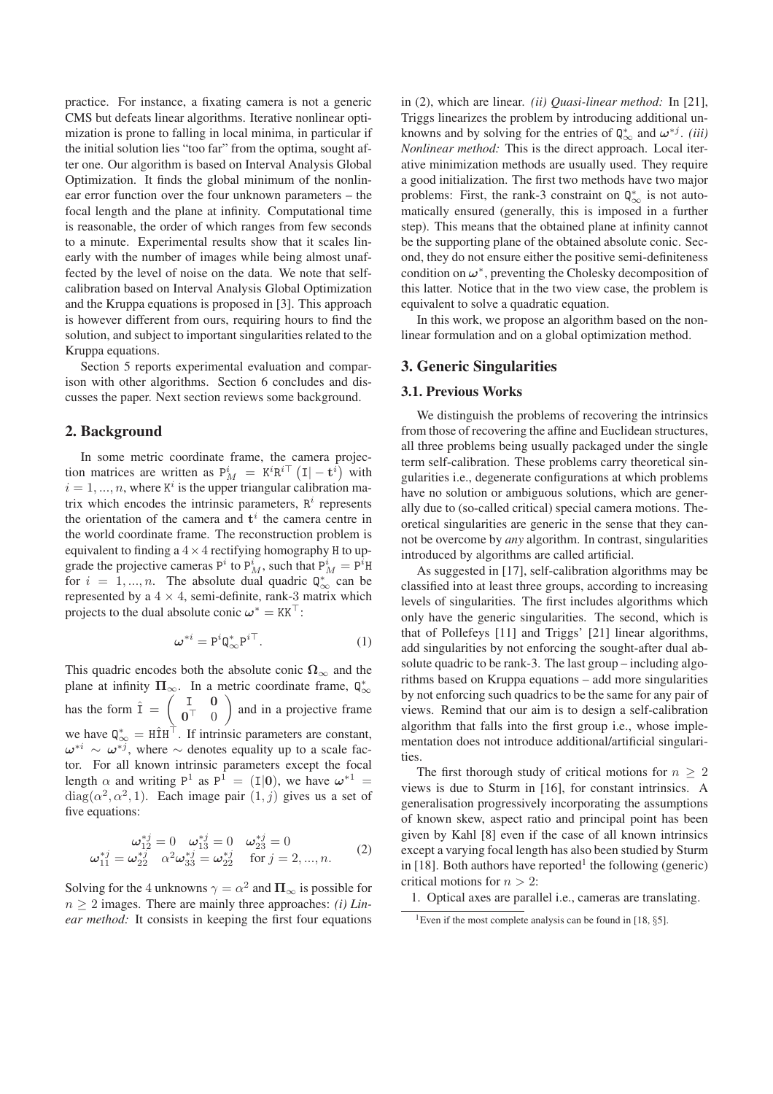practice. For instance, a fixating camera is not a generic CMS but defeats linear algorithms. Iterative nonlinear optimization is prone to falling in local minima, in particular if the initial solution lies "too far" from the optima, sought after one. Our algorithm is based on Interval Analysis Global Optimization. It finds the global minimum of the nonlinear error function over the four unknown parameters – the focal length and the plane at infinity. Computational time is reasonable, the order of which ranges from few seconds to a minute. Experimental results show that it scales linearly with the number of images while being almost unaffected by the level of noise on the data. We note that selfcalibration based on Interval Analysis Global Optimization and the Kruppa equations is proposed in [3]. This approach is however different from ours, requiring hours to find the solution, and subject to important singularities related to the Kruppa equations.

Section 5 reports experimental evaluation and comparison with other algorithms. Section 6 concludes and discusses the paper. Next section reviews some background.

# **2. Background**

In some metric coordinate frame, the camera projection matrices are written as  $P_M^i = K^i R^{i\top} (I - t^i)$  with  $i = 1, ..., n$ , where  $K^i$  is the upper triangular calibration matrix which encodes the intrinsic parameters,  $R<sup>i</sup>$  represents the orientation of the camera and  $t^i$  the camera centre in the world coordinate frame. The reconstruction problem is equivalent to finding a  $4 \times 4$  rectifying homography H to upgrade the projective cameras  $P^i$  to  $P^i_M$ , such that  $P^i_M = P^iH$ for  $i = 1, ..., n$ . The absolute dual quadric  $\mathbb{Q}_{\infty}^{*}$  can be represented by a  $4 \times 4$ , semi-definite, rank-3 matrix which projects to the dual absolute conic  $\boldsymbol{\omega}^* = \texttt{KK}^\top$ :

$$
\omega^{*i} = \mathbf{P}^i \mathbf{Q}^*_{\infty} \mathbf{P}^{i\top}.
$$
 (1)

This quadric encodes both the absolute conic  $\Omega_{\infty}$  and the plane at infinity  $\Pi_{\infty}$ . In a metric coordinate frame,  $\mathbb{Q}^*_{\infty}$ has the form  $\hat{\mathbf{I}} = \begin{pmatrix} \mathbf{I} & \mathbf{0} \\ \mathbf{0}^{\top} & 0 \end{pmatrix}$  $\mathbf{0}^{\top}$  0 ) and in a projective frame we have  $Q^*_{\infty} = H \hat{I} H^{\dagger}$ . If intrinsic parameters are constant,  $\omega^{*i} \sim \omega^{*j}$ , where  $\sim$  denotes equality up to a scale factor. For all known intrinsic parameters except the focal length  $\alpha$  and writing  $P^1$  as  $P^1 = (I|0)$ , we have  $\omega^{*1} =$  $diag(\alpha^2, \alpha^2, 1)$ . Each image pair  $(1, j)$  gives us a set of five equations:

$$
\omega_{11}^{*j} = 0 \quad \omega_{13}^{*j} = 0 \quad \omega_{23}^{*j} = 0
$$
\n
$$
\omega_{11}^{*j} = \omega_{22}^{*j} \quad \alpha^2 \omega_{33}^{*j} = \omega_{22}^{*j} \quad \text{for } j = 2, ..., n. \tag{2}
$$

Solving for the 4 unknowns  $\gamma = \alpha^2$  and  $\Pi_{\infty}$  is possible for n ≥ 2 images. There are mainly three approaches: *(i) Linear method:* It consists in keeping the first four equations in (2), which are linear. *(ii) Quasi-linear method:* In [21], Triggs linearizes the problem by introducing additional unknowns and by solving for the entries of  $Q^*_{\infty}$  and  $\omega^{*j}$ . *(iii) Nonlinear method:* This is the direct approach. Local iterative minimization methods are usually used. They require a good initialization. The first two methods have two major problems: First, the rank-3 constraint on  $\mathbb{Q}_{\infty}^*$  is not automatically ensured (generally, this is imposed in a further step). This means that the obtained plane at infinity cannot be the supporting plane of the obtained absolute conic. Second, they do not ensure either the positive semi-definiteness condition on  $\omega^*$ , preventing the Cholesky decomposition of this latter. Notice that in the two view case, the problem is equivalent to solve a quadratic equation.

In this work, we propose an algorithm based on the nonlinear formulation and on a global optimization method.

# **3. Generic Singularities**

# **3.1. Previous Works**

We distinguish the problems of recovering the intrinsics from those of recovering the affine and Euclidean structures, all three problems being usually packaged under the single term self-calibration. These problems carry theoretical singularities i.e., degenerate configurations at which problems have no solution or ambiguous solutions, which are generally due to (so-called critical) special camera motions. Theoretical singularities are generic in the sense that they cannot be overcome by *any* algorithm. In contrast, singularities introduced by algorithms are called artificial.

As suggested in [17], self-calibration algorithms may be classified into at least three groups, according to increasing levels of singularities. The first includes algorithms which only have the generic singularities. The second, which is that of Pollefeys [11] and Triggs' [21] linear algorithms, add singularities by not enforcing the sought-after dual absolute quadric to be rank-3. The last group – including algorithms based on Kruppa equations – add more singularities by not enforcing such quadrics to be the same for any pair of views. Remind that our aim is to design a self-calibration algorithm that falls into the first group i.e., whose implementation does not introduce additional/artificial singularities.

The first thorough study of critical motions for  $n > 2$ views is due to Sturm in [16], for constant intrinsics. A generalisation progressively incorporating the assumptions of known skew, aspect ratio and principal point has been given by Kahl [8] even if the case of all known intrinsics except a varying focal length has also been studied by Sturm in [18]. Both authors have reported<sup>1</sup> the following (generic) critical motions for  $n > 2$ :

1. Optical axes are parallel i.e., cameras are translating.

<sup>&</sup>lt;sup>1</sup>Even if the most complete analysis can be found in [18,  $\S$ 5].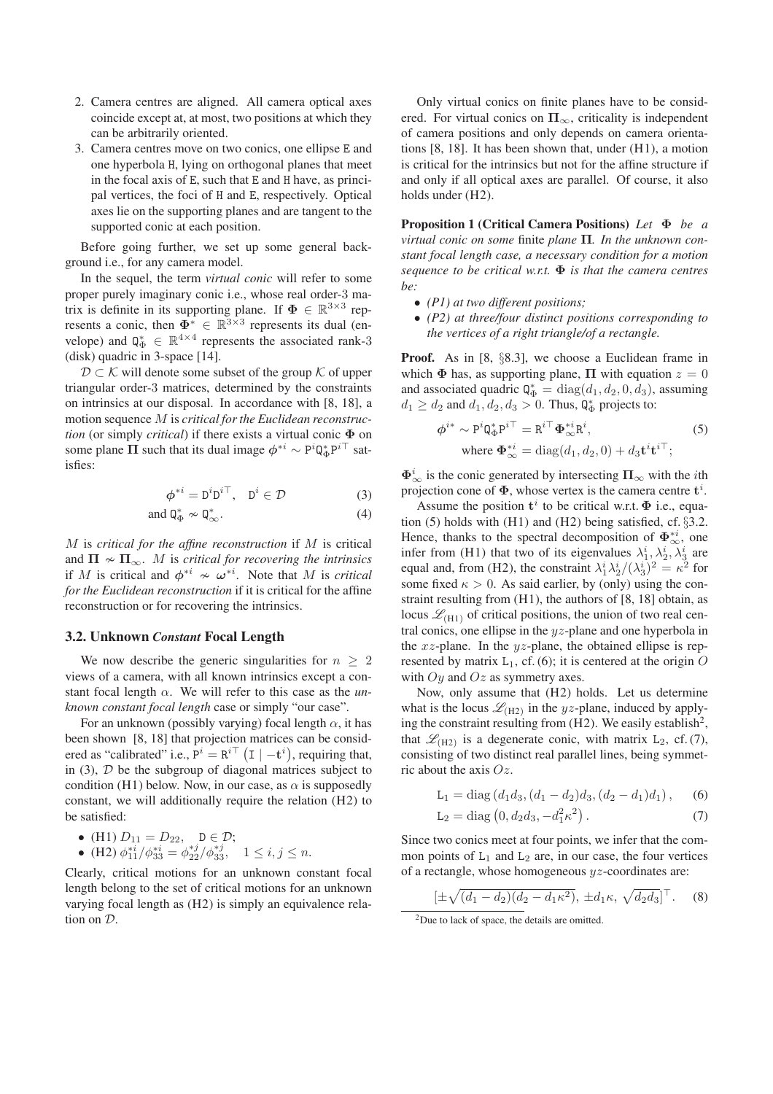- 2. Camera centres are aligned. All camera optical axes coincide except at, at most, two positions at which they can be arbitrarily oriented.
- 3. Camera centres move on two conics, one ellipse E and one hyperbola H, lying on orthogonal planes that meet in the focal axis of E, such that E and H have, as principal vertices, the foci of H and E, respectively. Optical axes lie on the supporting planes and are tangent to the supported conic at each position.

Before going further, we set up some general background i.e., for any camera model.

In the sequel, the term *virtual conic* will refer to some proper purely imaginary conic i.e., whose real order-3 matrix is definite in its supporting plane. If  $\mathbf{\Phi} \in \mathbb{R}^{3 \times 3}$  represents a conic, then  $\overline{\Phi^*} \in \mathbb{R}^{3 \times 3}$  represents its dual (envelope) and  $\mathbb{Q}_{\Phi}^* \in \mathbb{R}^{4 \times 4}$  represents the associated rank-3 (disk) quadric in 3-space [14].

 $D \subset \mathcal{K}$  will denote some subset of the group  $\mathcal{K}$  of upper triangular order-3 matrices, determined by the constraints on intrinsics at our disposal. In accordance with [8, 18], a motion sequence M is *critical for the Euclidean reconstruction* (or simply *critical*) if there exists a virtual conic  $\Phi$  on some plane  $\Pi$  such that its dual image  $\phi^{*i} \sim \mathbb{P}^i \mathbb{Q}_\Phi^* \mathbb{P}^{i\top}$  satisfies:

$$
\phi^{*i} = \mathbf{D}^i \mathbf{D}^{i\top}, \quad \mathbf{D}^i \in \mathcal{D} \tag{3}
$$

and 
$$
\mathbf{Q}_{\Phi}^* \sim \mathbf{Q}_{\infty}^*
$$
. (4)

M is *critical for the affine reconstruction* if M is critical and  $\Pi \sim \Pi_{\infty}$ . *M* is *critical for recovering the intrinsics* if M is critical and  $\phi^{*i} \sim \omega^{*i}$ . Note that M is *critical for the Euclidean reconstruction* if it is critical for the affine reconstruction or for recovering the intrinsics.

### **3.2. Unknown** *Constant* **Focal Length**

We now describe the generic singularities for  $n \geq 2$ views of a camera, with all known intrinsics except a constant focal length α. We will refer to this case as the *unknown constant focal length* case or simply "our case".

For an unknown (possibly varying) focal length  $\alpha$ , it has been shown [8, 18] that projection matrices can be considered as "calibrated" i.e.,  $P^i = R^{i\top} (I \mid -t^i)$ , requiring that, in  $(3)$ ,  $D$  be the subgroup of diagonal matrices subject to condition (H1) below. Now, in our case, as  $\alpha$  is supposedly constant, we will additionally require the relation (H2) to be satisfied:

\n- (H1) 
$$
D_{11} = D_{22}
$$
,  $D \in \mathcal{D}$ ;
\n- (H2)  $\phi_{11}^{*i}/\phi_{33}^{*i} = \phi_{22}^{*j}/\phi_{33}^{*j}$ ,  $1 \leq i, j \leq n$ .
\n

Clearly, critical motions for an unknown constant focal length belong to the set of critical motions for an unknown varying focal length as (H2) is simply an equivalence relation on D.

Only virtual conics on finite planes have to be considered. For virtual conics on  $\Pi_{\infty}$ , criticality is independent of camera positions and only depends on camera orientations [8, 18]. It has been shown that, under (H1), a motion is critical for the intrinsics but not for the affine structure if and only if all optical axes are parallel. Of course, it also holds under  $(H2)$ .

**Proposition 1 (Critical Camera Positions)** *Let* Φ *be a virtual conic on some* finite *plane* Π*. In the unknown constant focal length case, a necessary condition for a motion sequence to be critical w.r.t.* Φ *is that the camera centres be:*

- *(P1) at two different positions;*
- *(P2) at three/four distinct positions corresponding to the vertices of a right triangle/of a rectangle.*

Proof. As in [8, §8.3], we choose a Euclidean frame in which  $\Phi$  has, as supporting plane,  $\Pi$  with equation  $z = 0$ and associated quadric  $Q_{\Phi}^* = \text{diag}(d_1, d_2, 0, d_3)$ , assuming  $d_1 \geq d_2$  and  $d_1, d_2, d_3 > 0$ . Thus,  $\mathbb{Q}_{\Phi}^*$  projects to:

$$
\phi^{i*} \sim P^i \mathbf{Q}_{\Phi}^* P^{i\top} = R^{i\top} \Phi_{\infty}^{*i} R^i,
$$
\nwhere 
$$
\Phi_{\infty}^{*i} = \text{diag}(d_1, d_2, 0) + d_3 \mathbf{t}^i \mathbf{t}^{i\top};
$$
\n(5)

 $\Phi^i_{\infty}$  is the conic generated by intersecting  $\Pi_{\infty}$  with the *i*th projection cone of  $\Phi$ , whose vertex is the camera centre  $t^i$ .

Assume the position  $t^i$  to be critical w.r.t.  $\Phi$  i.e., equation (5) holds with  $(H1)$  and  $(H2)$  being satisfied, cf.  $\S 3.2$ . Hence, thanks to the spectral decomposition of  $\Phi_{\infty}^{*i}$ , one infer from (H1) that two of its eigenvalues  $\lambda_1^i, \lambda_2^i, \lambda_3^i$  are equal and, from (H2), the constraint  $\lambda_1^i \lambda_2^i / (\lambda_3^i)^2 = \kappa^2$  for some fixed  $\kappa > 0$ . As said earlier, by (only) using the constraint resulting from (H1), the authors of [8, 18] obtain, as locus  $\mathcal{L}_{(H1)}$  of critical positions, the union of two real central conics, one ellipse in the  $yz$ -plane and one hyperbola in the  $xz$ -plane. In the  $yz$ -plane, the obtained ellipse is represented by matrix  $L_1$ , cf. (6); it is centered at the origin O with  $Oy$  and  $Oz$  as symmetry axes.

Now, only assume that (H2) holds. Let us determine what is the locus  $\mathcal{L}_{(H2)}$  in the yz-plane, induced by applying the constraint resulting from  $(H2)$ . We easily establish<sup>2</sup>, that  $\mathcal{L}_{(H2)}$  is a degenerate conic, with matrix L<sub>2</sub>, cf. (7), consisting of two distinct real parallel lines, being symmetric about the axis  $Oz$ .

$$
L_1 = diag(d_1d_3, (d_1 - d_2)d_3, (d_2 - d_1)d_1),
$$
 (6)

$$
L_2 = diag\left(0, d_2 d_3, -d_1^2 \kappa^2\right). \tag{7}
$$

Since two conics meet at four points, we infer that the common points of  $L_1$  and  $L_2$  are, in our case, the four vertices of a rectangle, whose homogeneous  $yz$ -coordinates are:

$$
[\pm \sqrt{(d_1 - d_2)(d_2 - d_1 \kappa^2)}, \pm d_1 \kappa, \sqrt{d_2 d_3}]^\top. \tag{8}
$$

<sup>2</sup>Due to lack of space, the details are omitted.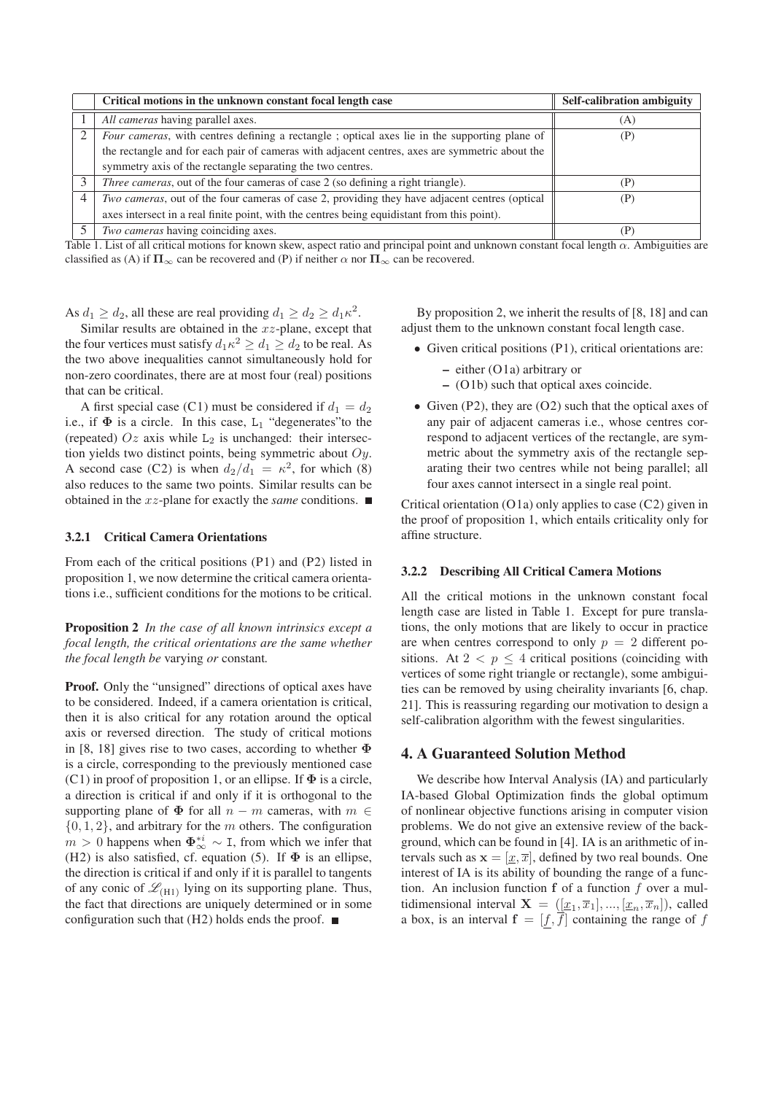|   | Critical motions in the unknown constant focal length case                                            | <b>Self-calibration ambiguity</b> |
|---|-------------------------------------------------------------------------------------------------------|-----------------------------------|
|   | All cameras having parallel axes.                                                                     | (A)                               |
|   | Four cameras, with centres defining a rectangle ; optical axes lie in the supporting plane of         | $(\mathbf{P})$                    |
|   | the rectangle and for each pair of cameras with adjacent centres, axes are symmetric about the        |                                   |
|   | symmetry axis of the rectangle separating the two centres.                                            |                                   |
|   | <i>Three cameras</i> , out of the four cameras of case 2 (so defining a right triangle).              | (P)                               |
| 4 | <i>Two cameras</i> , out of the four cameras of case 2, providing they have adjacent centres (optical | (P)                               |
|   | axes intersect in a real finite point, with the centres being equidistant from this point).           |                                   |
|   | Two cameras having coinciding axes.                                                                   | (P                                |

Table 1. List of all critical motions for known skew, aspect ratio and principal point and unknown constant focal length  $\alpha$ . Ambiguities are classified as (A) if  $\Pi_{\infty}$  can be recovered and (P) if neither  $\alpha$  nor  $\Pi_{\infty}$  can be recovered.

As  $d_1 \geq d_2$ , all these are real providing  $d_1 \geq d_2 \geq d_1 \kappa^2$ .

Similar results are obtained in the xz-plane, except that the four vertices must satisfy  $d_1 \kappa^2 \geq d_1 \geq d_2$  to be real. As the two above inequalities cannot simultaneously hold for non-zero coordinates, there are at most four (real) positions that can be critical.

A first special case (C1) must be considered if  $d_1 = d_2$ i.e., if  $\Phi$  is a circle. In this case, L<sub>1</sub> "degenerates" to the (repeated)  $Oz$  axis while  $L_2$  is unchanged: their intersection yields two distinct points, being symmetric about  $Oy$ . A second case (C2) is when  $d_2/d_1 = \kappa^2$ , for which (8) also reduces to the same two points. Similar results can be obtained in the xz-plane for exactly the *same* conditions.

# **3.2.1 Critical Camera Orientations**

From each of the critical positions (P1) and (P2) listed in proposition 1, we now determine the critical camera orientations i.e., sufficient conditions for the motions to be critical.

**Proposition 2** *In the case of all known intrinsics except a focal length, the critical orientations are the same whether the focal length be* varying *or* constant*.*

**Proof.** Only the "unsigned" directions of optical axes have to be considered. Indeed, if a camera orientation is critical, then it is also critical for any rotation around the optical axis or reversed direction. The study of critical motions in [8, 18] gives rise to two cases, according to whether Φ is a circle, corresponding to the previously mentioned case (C1) in proof of proposition 1, or an ellipse. If  $\Phi$  is a circle, a direction is critical if and only if it is orthogonal to the supporting plane of  $\Phi$  for all  $n - m$  cameras, with  $m \in$  $\{0, 1, 2\}$ , and arbitrary for the m others. The configuration  $m > 0$  happens when  $\Phi_{\infty}^{*i} \sim I$ , from which we infer that (H2) is also satisfied, cf. equation (5). If  $\Phi$  is an ellipse, the direction is critical if and only if it is parallel to tangents of any conic of  $\mathcal{L}_{(H1)}$  lying on its supporting plane. Thus, the fact that directions are uniquely determined or in some configuration such that  $(H2)$  holds ends the proof.  $\blacksquare$ 

By proposition 2, we inherit the results of [8, 18] and can adjust them to the unknown constant focal length case.

- Given critical positions (P1), critical orientations are:
	- **–** either (O1a) arbitrary or
	- **–** (O1b) such that optical axes coincide.
- Given (P2), they are (O2) such that the optical axes of any pair of adjacent cameras i.e., whose centres correspond to adjacent vertices of the rectangle, are symmetric about the symmetry axis of the rectangle separating their two centres while not being parallel; all four axes cannot intersect in a single real point.

Critical orientation (O1a) only applies to case (C2) given in the proof of proposition 1, which entails criticality only for affine structure.

#### **3.2.2 Describing All Critical Camera Motions**

All the critical motions in the unknown constant focal length case are listed in Table 1. Except for pure translations, the only motions that are likely to occur in practice are when centres correspond to only  $p = 2$  different positions. At  $2 < p \leq 4$  critical positions (coinciding with vertices of some right triangle or rectangle), some ambiguities can be removed by using cheirality invariants [6, chap. 21]. This is reassuring regarding our motivation to design a self-calibration algorithm with the fewest singularities.

### **4. A Guaranteed Solution Method**

We describe how Interval Analysis (IA) and particularly IA-based Global Optimization finds the global optimum of nonlinear objective functions arising in computer vision problems. We do not give an extensive review of the background, which can be found in [4]. IA is an arithmetic of intervals such as  $\mathbf{x} = [\underline{x}, \overline{x}]$ , defined by two real bounds. One interest of IA is its ability of bounding the range of a function. An inclusion function  $f$  of a function  $f$  over a multidimensional interval  $\mathbf{X} = (\underline{[x_1, \overline{x}_1], ..., [x_n, \overline{x}_n]}),$  called a box, is an interval  $f = [f, f]$  containing the range of f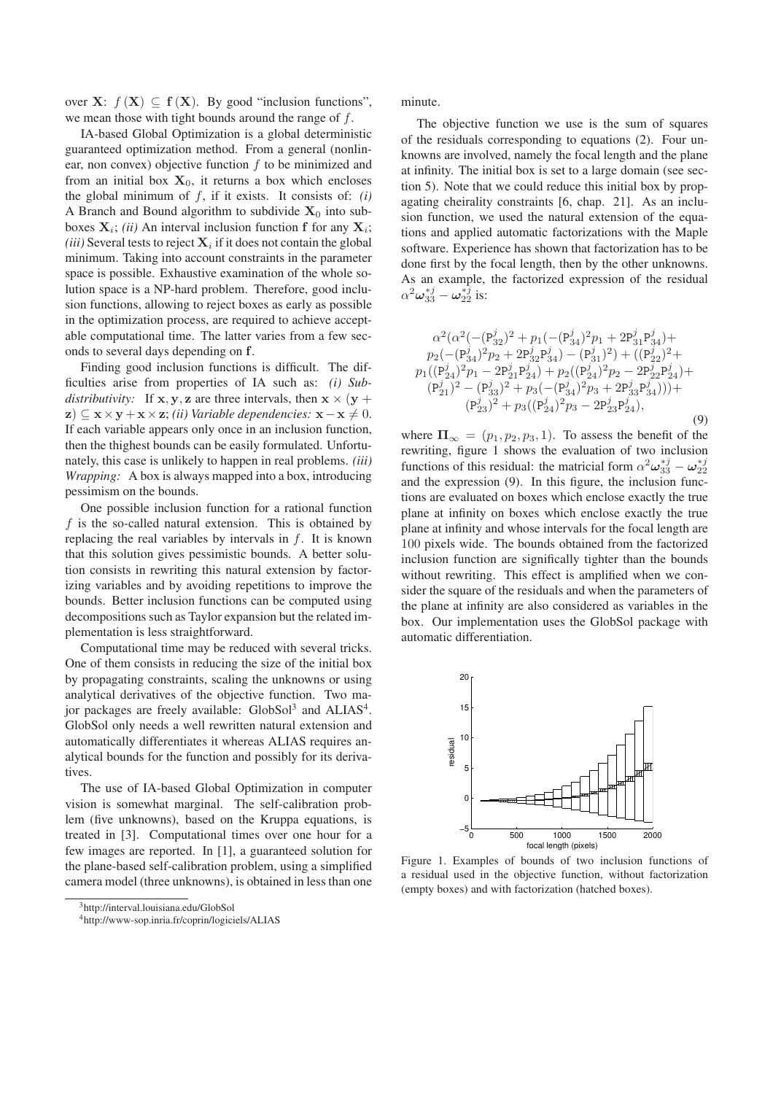over  $X: f(X) \subseteq f(X)$ . By good "inclusion functions", we mean those with tight bounds around the range of f.

IA-based Global Optimization is a global deterministic guaranteed optimization method. From a general (nonlinear, non convex) objective function  $f$  to be minimized and from an initial box  $X_0$ , it returns a box which encloses the global minimum of f, if it exists. It consists of: *(i)* A Branch and Bound algorithm to subdivide  $X_0$  into subboxes  $\mathbf{X}_i$ ; *(ii)* An interval inclusion function f for any  $\mathbf{X}_i$ ; *(iii)* Several tests to reject  $\mathbf{X}_i$  if it does not contain the global minimum. Taking into account constraints in the parameter space is possible. Exhaustive examination of the whole solution space is a NP-hard problem. Therefore, good inclusion functions, allowing to reject boxes as early as possible in the optimization process, are required to achieve acceptable computational time. The latter varies from a few seconds to several days depending on f.

Finding good inclusion functions is difficult. The difficulties arise from properties of IA such as: *(i) Subdistributivity:* If **x**, **y**, **z** are three intervals, then **x**  $\times$  (**y** +  $(z) \subseteq x \times y + x \times z$ ; *(ii) Variable dependencies:*  $x - x \neq 0$ . If each variable appears only once in an inclusion function, then the thighest bounds can be easily formulated. Unfortunately, this case is unlikely to happen in real problems. *(iii) Wrapping:* A box is always mapped into a box, introducing pessimism on the bounds.

One possible inclusion function for a rational function  $f$  is the so-called natural extension. This is obtained by replacing the real variables by intervals in f. It is known that this solution gives pessimistic bounds. A better solution consists in rewriting this natural extension by factorizing variables and by avoiding repetitions to improve the bounds. Better inclusion functions can be computed using decompositions such as Taylor expansion but the related implementation is less straightforward.

Computational time may be reduced with several tricks. One of them consists in reducing the size of the initial box by propagating constraints, scaling the unknowns or using analytical derivatives of the objective function. Two major packages are freely available: GlobSol<sup>3</sup> and ALIAS<sup>4</sup>. GlobSol only needs a well rewritten natural extension and automatically differentiates it whereas ALIAS requires analytical bounds for the function and possibly for its derivatives.

The use of IA-based Global Optimization in computer vision is somewhat marginal. The self-calibration problem (five unknowns), based on the Kruppa equations, is treated in [3]. Computational times over one hour for a few images are reported. In [1], a guaranteed solution for the plane-based self-calibration problem, using a simplified camera model (three unknowns), is obtained in less than one minute.

The objective function we use is the sum of squares of the residuals corresponding to equations (2). Four unknowns are involved, namely the focal length and the plane at infinity. The initial box is set to a large domain (see section 5). Note that we could reduce this initial box by propagating cheirality constraints [6, chap. 21]. As an inclusion function, we used the natural extension of the equations and applied automatic factorizations with the Maple software. Experience has shown that factorization has to be done first by the focal length, then by the other unknowns. As an example, the factorized expression of the residual  $\alpha^2 \omega_{33}^{*j} - \omega_{22}^{*j}$  is:

$$
\alpha^2(\alpha^2(-(\text{P}_{32}^j)^2 + p_1(-(\text{P}_{34}^j)^2p_1 + 2\text{P}_{31}^j\text{P}_{34}^j) + p_2(-(\text{P}_{34}^j)^2p_2 + 2\text{P}_{32}^j\text{P}_{34}^j) - (\text{P}_{31}^j)^2) + ((\text{P}_{22}^j)^2 + p_1((\text{P}_{24}^j)^2p_1 - 2\text{P}_{21}^j\text{P}_{24}^j) + p_2((\text{P}_{24}^j)^2p_2 - 2\text{P}_{22}^j\text{P}_{24}^j) + ( \text{P}_{21}^j)^2 - (\text{P}_{33}^j)^2 + p_3(-(\text{P}_{34}^j)^2p_3 + 2\text{P}_{33}^j\text{P}_{34}^j) ) ) + ( \text{P}_{23}^j)^2 + p_3((\text{P}_{24}^j)^2p_3 - 2\text{P}_{23}^j\text{P}_{24}^j),
$$
\n(9)

where  $\Pi_{\infty} = (p_1, p_2, p_3, 1)$ . To assess the benefit of the rewriting, figure 1 shows the evaluation of two inclusion functions of this residual: the matricial form  $\alpha^2 \omega_{33}^{*j} - \omega_{22}^{*j}$ and the expression (9). In this figure, the inclusion functions are evaluated on boxes which enclose exactly the true plane at infinity on boxes which enclose exactly the true plane at infinity and whose intervals for the focal length are 100 pixels wide. The bounds obtained from the factorized inclusion function are significally tighter than the bounds without rewriting. This effect is amplified when we consider the square of the residuals and when the parameters of the plane at infinity are also considered as variables in the box. Our implementation uses the GlobSol package with automatic differentiation.



Figure 1. Examples of bounds of two inclusion functions of a residual used in the objective function, without factorization (empty boxes) and with factorization (hatched boxes).

<sup>3</sup>http://interval.louisiana.edu/GlobSol

<sup>4</sup>http://www-sop.inria.fr/coprin/logiciels/ALIAS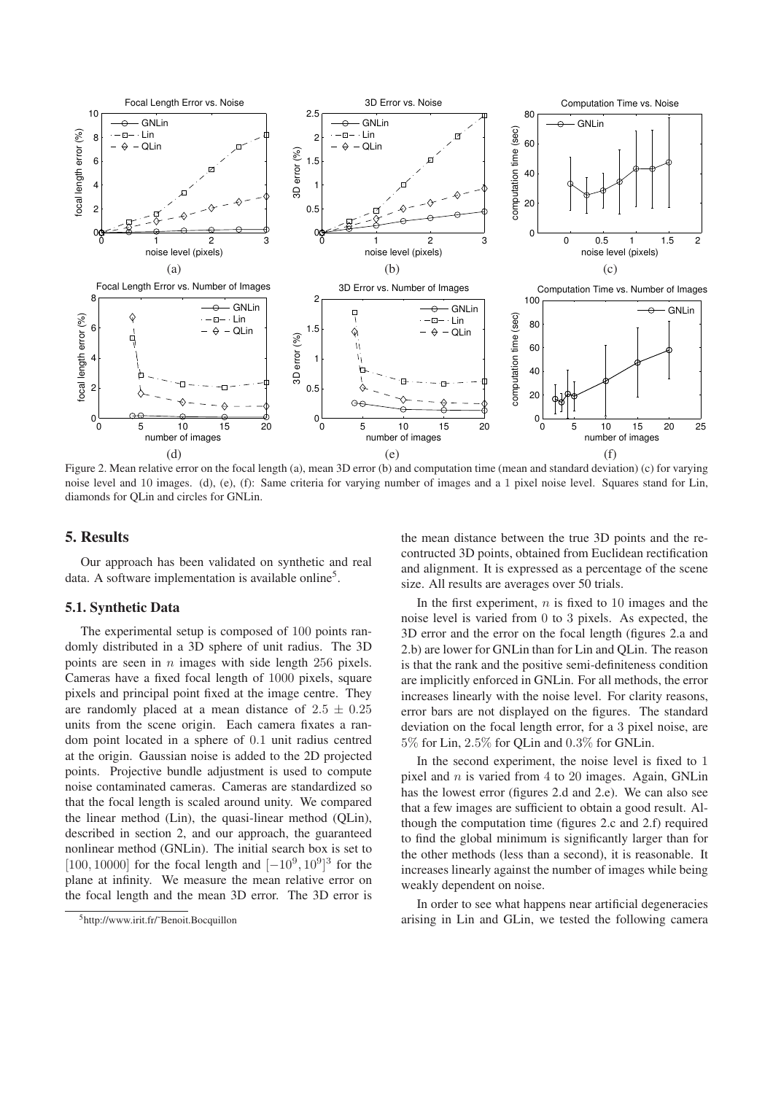

Figure 2. Mean relative error on the focal length (a), mean 3D error (b) and computation time (mean and standard deviation) (c) for varying noise level and 10 images. (d), (e), (f): Same criteria for varying number of images and a 1 pixel noise level. Squares stand for Lin, diamonds for QLin and circles for GNLin.

## **5. Results**

Our approach has been validated on synthetic and real data. A software implementation is available online<sup>5</sup>.

### **5.1. Synthetic Data**

The experimental setup is composed of 100 points randomly distributed in a 3D sphere of unit radius. The 3D points are seen in  $n$  images with side length 256 pixels. Cameras have a fixed focal length of 1000 pixels, square pixels and principal point fixed at the image centre. They are randomly placed at a mean distance of  $2.5 \pm 0.25$ units from the scene origin. Each camera fixates a random point located in a sphere of 0.1 unit radius centred at the origin. Gaussian noise is added to the 2D projected points. Projective bundle adjustment is used to compute noise contaminated cameras. Cameras are standardized so that the focal length is scaled around unity. We compared the linear method (Lin), the quasi-linear method (QLin), described in section 2, and our approach, the guaranteed nonlinear method (GNLin). The initial search box is set to [100, 10000] for the focal length and  $[-10^9, 10^9]$ <sup>3</sup> for the plane at infinity. We measure the mean relative error on the focal length and the mean 3D error. The 3D error is the mean distance between the true 3D points and the recontructed 3D points, obtained from Euclidean rectification and alignment. It is expressed as a percentage of the scene size. All results are averages over 50 trials.

In the first experiment,  $n$  is fixed to 10 images and the noise level is varied from 0 to 3 pixels. As expected, the 3D error and the error on the focal length (figures 2.a and 2.b) are lower for GNLin than for Lin and QLin. The reason is that the rank and the positive semi-definiteness condition are implicitly enforced in GNLin. For all methods, the error increases linearly with the noise level. For clarity reasons, error bars are not displayed on the figures. The standard deviation on the focal length error, for a 3 pixel noise, are 5% for Lin, 2.5% for QLin and 0.3% for GNLin.

In the second experiment, the noise level is fixed to 1 pixel and n is varied from 4 to 20 images. Again, GNLin has the lowest error (figures 2.d and 2.e). We can also see that a few images are sufficient to obtain a good result. Although the computation time (figures 2.c and 2.f) required to find the global minimum is significantly larger than for the other methods (less than a second), it is reasonable. It increases linearly against the number of images while being weakly dependent on noise.

In order to see what happens near artificial degeneracies arising in Lin and GLin, we tested the following camera

<sup>5</sup>http://www.irit.fr/˜Benoit.Bocquillon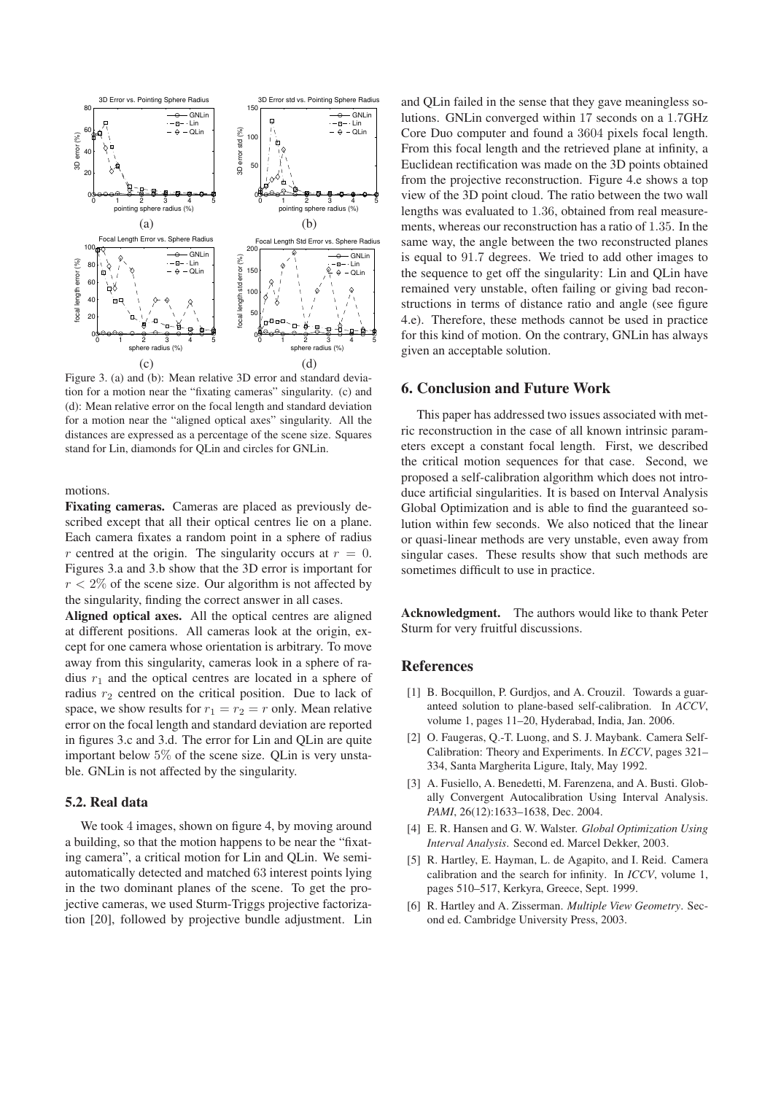

Figure 3. (a) and (b): Mean relative 3D error and standard deviation for a motion near the "fixating cameras" singularity. (c) and (d): Mean relative error on the focal length and standard deviation for a motion near the "aligned optical axes" singularity. All the distances are expressed as a percentage of the scene size. Squares stand for Lin, diamonds for QLin and circles for GNLin.

motions.

**Fixating cameras.** Cameras are placed as previously described except that all their optical centres lie on a plane. Each camera fixates a random point in a sphere of radius r centred at the origin. The singularity occurs at  $r = 0$ . Figures 3.a and 3.b show that the 3D error is important for  $r < 2\%$  of the scene size. Our algorithm is not affected by the singularity, finding the correct answer in all cases.

**Aligned optical axes.** All the optical centres are aligned at different positions. All cameras look at the origin, except for one camera whose orientation is arbitrary. To move away from this singularity, cameras look in a sphere of radius  $r_1$  and the optical centres are located in a sphere of radius  $r_2$  centred on the critical position. Due to lack of space, we show results for  $r_1 = r_2 = r$  only. Mean relative error on the focal length and standard deviation are reported in figures 3.c and 3.d. The error for Lin and QLin are quite important below 5% of the scene size. QLin is very unstable. GNLin is not affected by the singularity.

### **5.2. Real data**

We took 4 images, shown on figure 4, by moving around a building, so that the motion happens to be near the "fixating camera", a critical motion for Lin and QLin. We semiautomatically detected and matched 63 interest points lying in the two dominant planes of the scene. To get the projective cameras, we used Sturm-Triggs projective factorization [20], followed by projective bundle adjustment. Lin and QLin failed in the sense that they gave meaningless solutions. GNLin converged within 17 seconds on a 1.7GHz Core Duo computer and found a 3604 pixels focal length. From this focal length and the retrieved plane at infinity, a Euclidean rectification was made on the 3D points obtained from the projective reconstruction. Figure 4.e shows a top view of the 3D point cloud. The ratio between the two wall lengths was evaluated to 1.36, obtained from real measurements, whereas our reconstruction has a ratio of 1.35. In the same way, the angle between the two reconstructed planes is equal to 91.7 degrees. We tried to add other images to the sequence to get off the singularity: Lin and QLin have remained very unstable, often failing or giving bad reconstructions in terms of distance ratio and angle (see figure 4.e). Therefore, these methods cannot be used in practice for this kind of motion. On the contrary, GNLin has always given an acceptable solution.

### **6. Conclusion and Future Work**

This paper has addressed two issues associated with metric reconstruction in the case of all known intrinsic parameters except a constant focal length. First, we described the critical motion sequences for that case. Second, we proposed a self-calibration algorithm which does not introduce artificial singularities. It is based on Interval Analysis Global Optimization and is able to find the guaranteed solution within few seconds. We also noticed that the linear or quasi-linear methods are very unstable, even away from singular cases. These results show that such methods are sometimes difficult to use in practice.

**Acknowledgment.** The authors would like to thank Peter Sturm for very fruitful discussions.

## **References**

- [1] B. Bocquillon, P. Gurdjos, and A. Crouzil. Towards a guaranteed solution to plane-based self-calibration. In *ACCV*, volume 1, pages 11–20, Hyderabad, India, Jan. 2006.
- [2] O. Faugeras, O.-T. Luong, and S. J. Maybank. Camera Self-Calibration: Theory and Experiments. In *ECCV*, pages 321– 334, Santa Margherita Ligure, Italy, May 1992.
- [3] A. Fusiello, A. Benedetti, M. Farenzena, and A. Busti. Globally Convergent Autocalibration Using Interval Analysis. *PAMI*, 26(12):1633–1638, Dec. 2004.
- [4] E. R. Hansen and G. W. Walster. *Global Optimization Using Interval Analysis*. Second ed. Marcel Dekker, 2003.
- [5] R. Hartley, E. Hayman, L. de Agapito, and I. Reid. Camera calibration and the search for infinity. In *ICCV*, volume 1, pages 510–517, Kerkyra, Greece, Sept. 1999.
- [6] R. Hartley and A. Zisserman. *Multiple View Geometry*. Second ed. Cambridge University Press, 2003.